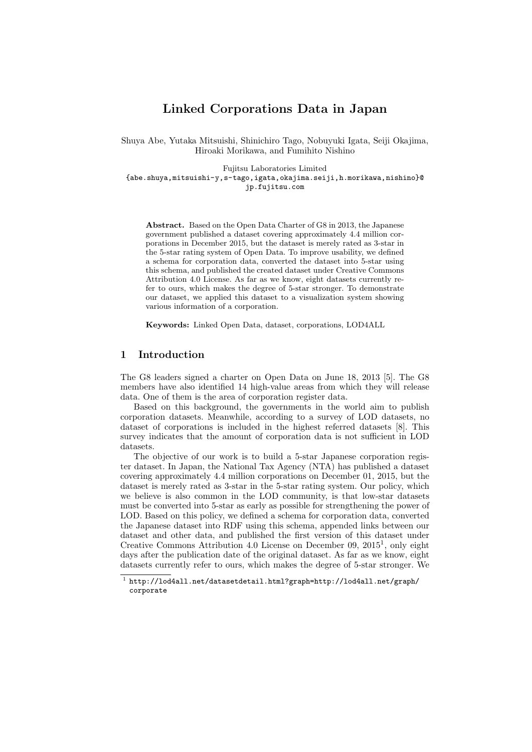# **Linked Corporations Data in Japan**

Shuya Abe, Yutaka Mitsuishi, Shinichiro Tago, Nobuyuki Igata, Seiji Okajima, Hiroaki Morikawa, and Fumihito Nishino

Fujitsu Laboratories Limited {abe.shuya,mitsuishi-y,s-tago,igata,okajima.seiji,h.morikawa,nishino}@ jp.fujitsu.com

**Abstract.** Based on the Open Data Charter of G8 in 2013, the Japanese government published a dataset covering approximately 4.4 million corporations in December 2015, but the dataset is merely rated as 3-star in the 5-star rating system of Open Data. To improve usability, we defined a schema for corporation data, converted the dataset into 5-star using this schema, and published the created dataset under Creative Commons Attribution 4.0 License. As far as we know, eight datasets currently refer to ours, which makes the degree of 5-star stronger. To demonstrate our dataset, we applied this dataset to a visualization system showing various information of a corporation.

**Keywords:** Linked Open Data, dataset, corporations, LOD4ALL

#### **1 Introduction**

The G8 leaders signed a charter on Open Data on June 18, 2013 [5]. The G8 members have also identified 14 high-value areas from which they will release data. One of them is the area of corporation register data.

Based on this background, the governments in the world aim to publish corporation datasets. Meanwhile, according to a survey of LOD [da](#page-3-0)tasets, no dataset of corporations is included in the highest referred datasets [8]. This survey indicates that the amount of corporation data is not sufficient in LOD datasets.

The objective of our work is to build a 5-star Japanese corporation register dataset. In Japan, the National Tax Agency (NTA) has published a [d](#page-3-1)ataset covering approximately 4.4 million corporations on December 01, 2015, but the dataset is merely rated as 3-star in the 5-star rating system. Our policy, which we believe is also common in the LOD community, is that low-star datasets must be converted into 5-star as early as possible for strengthening the power of LOD. Based on this policy, we defined a schema for corporation data, converted the Japanese dataset into RDF using this schema, appended links between our dataset and other data, and published the first version of this dataset under Creative Commons Attribution 4.0 License on December 09, 2015<sup>1</sup>, only eight days after the publication date of the original dataset. As far as we know, eight datasets currently refer to ours, which makes the degree of 5-star stronger. We

<span id="page-0-0"></span> $^{\rm 1}$  http://lod4all.[ne](#page-0-0)t/datasetdetail.html?graph=http://lod4all.net/graph/ corporate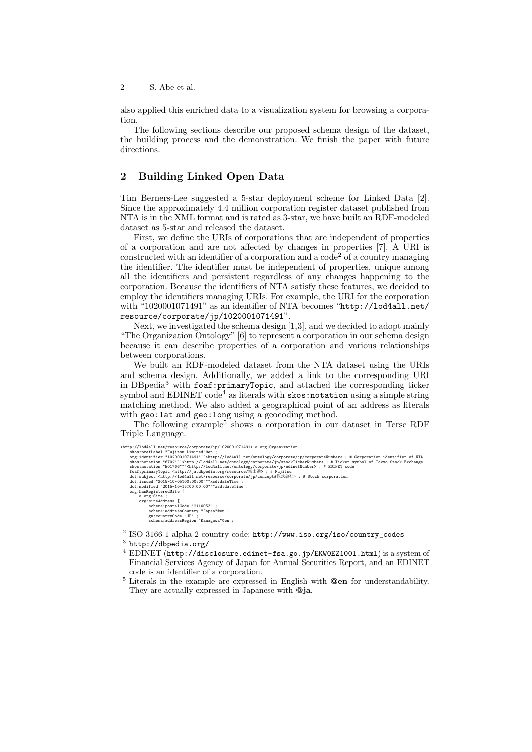also applied this enriched data to a visualization system for browsing a corporation.

The following sections describe our proposed schema design of the dataset, the building process and the demonstration. We finish the paper with future directions.

## **2 Building Linked Open Data**

Tim Berners-Lee suggested a 5-star deployment scheme for Linked Data [2]. Since the approximately 4.4 million corporation register dataset published from NTA is in the XML format and is rated as 3-star, we have built an RDF-modeled dataset as 5-star and released the dataset.

First, we define the URIs of corporations that are independent of properties of a corporation and are not affected by changes in properties [7]. A URI [i](#page-3-2)s constructed with an identifier of a corporation and a  $\text{code}^2$  of a country managing the identifier. The identifier must be independent of properties, unique among all the identifiers and persistent regardless of any changes happening to the corporation. Because the identifiers of NTA satisfy these features, we decided to employ the identifiers managing URIs. For example, the [U](#page-1-0)RI for th[e](#page-3-3) corporation with "1020001071491" as an identifier of NTA becomes "http://lod4all.net/ resource/corporate/jp/1020001071491".

Next, we investigated the schema design [1,3], and we decided to adopt mainly "The Organization Ontology" [6] to represent a corporation in our schema design because it can describe properties of a corporation an[d various relationships](http://lod4all.net/resource/corporate/jp/1020001071491) between corporations.

[We built an RDF-modeled dataset fro](http://lod4all.net/resource/corporate/jp/1020001071491)[m](#page-3-4) [th](#page-3-5)e NTA dataset using the URIs and schema design. Addition[all](#page-3-6)y, we added a link to the corresponding URI in DBpedia<sup>3</sup> with foaf: primaryTopic, and attached the corresponding ticker symbol and EDINET  $code^4$  as literals with  $skos:notation$  using a simple string matching method. We also added a geographical point of an address as literals with geo:lat and geo:long using a geocoding method.

The f[o](#page-1-1)llowing example<sup>5</sup> [shows a co](http://xmlns.com/foaf/0.1/primaryTopic)rporation in our dataset in Terse RDF Triple Language.

| <http: 1020001071491="" corporate="" jp="" lod4all.net="" resource=""> a org:Organization ;</http:>                                                |
|----------------------------------------------------------------------------------------------------------------------------------------------------|
| skos: prefLabel "Fujitsu Limited"@en :                                                                                                             |
| org:identifier "1020001071491"^ <http: corporate="" corporatenumber="" jp="" lod4all.net="" ontology="">;# Corporation identifier of NTA</http:>   |
| skos:notation "6702"^^ <http: corporate="" jp="" lod4all.net="" ontology="" stocktickernumber="">; # Ticker symbol of Tokyo Stock Exchange</http:> |
| skos:notation "E01766"^^ <http: corporate="" edinetnumber="" jp="" lod4all.net="" ontology=""> ; # EDINET code</http:>                             |
| foaf:primaryTopic <http: ja.dbpedia.org="" resource="" 富士通="">; # Fujitsu</http:>                                                                  |
| dct:subject <http: concept#株式会社="" corporate="" jp="" lod4all.net="" resource="">; # Stock corporation</http:>                                     |
| dct:issued "2015-10-05T00:00:00"^^xsd:dateTime :                                                                                                   |
| dct:modified "2015-10-15T00:00:00"^^xsd:dateTime :                                                                                                 |
| org:hasRegisteredSite [                                                                                                                            |
| a org:Site :                                                                                                                                       |
| org:siteAddress [                                                                                                                                  |
| schema: postalCode "2110053";                                                                                                                      |
| schema: addressCountry "Japan"@en ;                                                                                                                |
| gn:countryCode "JP";                                                                                                                               |
| schema:addressRegion "Kanagawa"@en ;                                                                                                               |
|                                                                                                                                                    |

 $^{2}$  ISO 3166-1 alpha-2 country code: http://www.iso.org/iso/country\_codes

 $^3$  http://dbpedia.org/

<sup>4</sup> EDINET (http://disclosure.edinet-fsa.go.jp/EKW0EZ1001.html) is a system of Financial Services Agency of Japan for Annual Securities Report, and an EDINET code is an identifier of a corporation.

<span id="page-1-2"></span><span id="page-1-1"></span><span id="page-1-0"></span><sup>5</sup> Literals in the example are expre[ssed in English with](http://www.iso.org/iso/country_codes) **@en** for understandability. [They are actually expr](http://dbpedia.org/)essed in Japanese with **@ja**.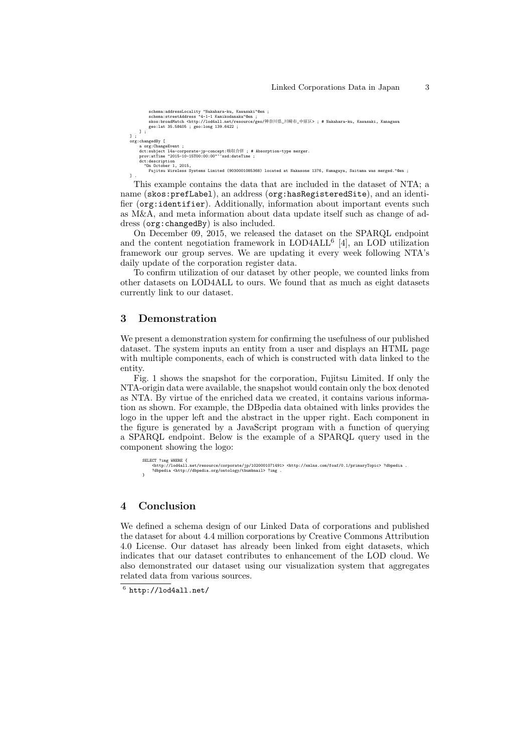```
schema:addressLocality "Nakahara-ku, Kawasaki"@en ;<br>schema:streetAddress "4-1-1 Kamikodanaka"@en ;<br>skos:broadMatch <http://lod4all.net/resource/geo/神奈川県_川崎市_中原区> ; # Nakahara-ku, Kawasaki, Kanagawa<br>skos:broadMatch <htp://
      ] ;
];<br>crg:changedBy [<br>a org:ChangeEvent ;<br>dct:subject l4a-corporate-jp-concept:吸収合併 ; # Absorption-type merger.<br>prov:atTime "2015-10-15T00:00:00"^^xsd:dateTime ;<br>dct:description<br>"On October 1, 2015,
             Fujitsu Wireless Systems Limited (9030001085368) located at Nakasone 1376, Kumagaya, Saitama was merged."@en ;
] .
```
This example contains the data that are included in the dataset of NTA; a name (skos:prefLabel), an address (org:hasRegisteredSite), and an identifier (org:identifier). Additionally, information about important events such as M&A, and meta information about data update itself such as change of address (org:changedBy) is also included.

On December 09, 2015, we released the dataset on the SPARQL endpoint and th[e content negotia](http://www.w3.org/2004/02/skos/core#prefLabel)tion framework in  $LOD4ALL<sup>6</sup>$  [4], an LOD utilization fram[ework our group](http://www.w3.org/ns/org#identifier) serves. We are updating it every week following NTA's daily update of the corporation register data.

To [confirm utilizati](http://www.w3.org/ns/org#changedBy)on of our dataset by other people, we counted links from other datasets on LOD4ALL to ours. We found that [as](#page-2-0) [m](#page-3-7)uch as eight datasets currently link to our dataset.

#### **3 Demonstration**

We present a demonstration system for confirming the usefulness of our published dataset. The system inputs an entity from a user and displays an HTML page with multiple components, each of which is constructed with data linked to the entity.

Fig. 1 shows the snapshot for the corporation, Fujitsu Limited. If only the NTA-origin data were available, the snapshot would contain only the box denoted as NTA. By virtue of the enriched data we created, it contains various information as shown. For example, the DBpedia data obtained with links provides the logo in the upper left and the abstract in the upper right. Each component in the figu[re](#page-3-8) is generated by a JavaScript program with a function of querying a SPARQL endpoint. Below is the example of a SPARQL query used in the component showing the logo:

```
SELECT ?img WHERE {
<http://lod4all.net/resource/corporate/jp/1020001071491> <http://xmlns.com/foaf/0.1/primaryTopic> ?dbpedia .
   ?dbpedia <http://dbpedia.org/ontology/thumbnail> ?img
}
```
### **4 Conclusion**

We defined a schema design of our Linked Data of corporations and published the dataset for about 4.4 million corporations by Creative Commons Attribution 4.0 License. Our dataset has already been linked from eight datasets, which indicates that our dataset contributes to enhancement of the LOD cloud. We also demonstrated our dataset using our visualization system that aggregates related data from various sources.

<span id="page-2-0"></span> $^6$  http://lod4all.net/